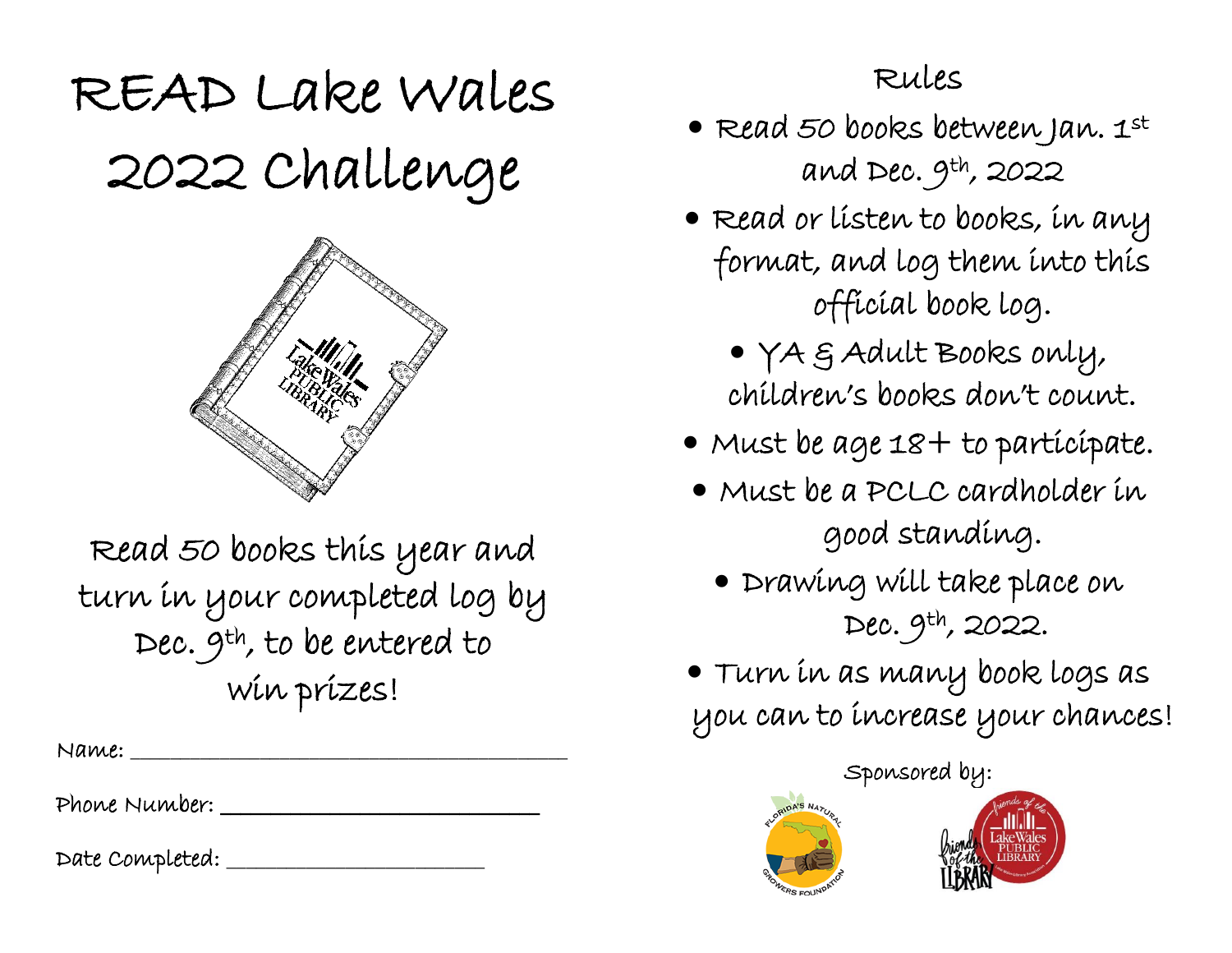## READ Lake Wales 2022 Challenge



Read 50 books this year and turn in your completed log by Dec. 9th, to be entered to win prizes!

 $Name: \_\_$ 

Phone Number: \_\_\_\_\_\_\_\_\_\_\_\_\_\_\_\_\_\_\_\_\_\_\_\_\_\_\_\_\_\_\_\_

Date Completed: \_\_\_\_\_\_\_\_\_\_\_\_\_\_\_\_\_\_\_\_\_\_\_\_\_\_

## Rules

- Read 50 books between Jan. 1st and Dec.  $9^{\text{th}}$ , 2022
- Read or listen to books, in any format, and log them into this official book log.
	- YA & Adult Books only, children's books don't count.
- Must be age 18+ to participate.
- Must be a PCLC cardholder in good standing.
	- Drawing will take place on Dec. 9th, 2022.
- Turn in as many book logs as you can to increase your chances!

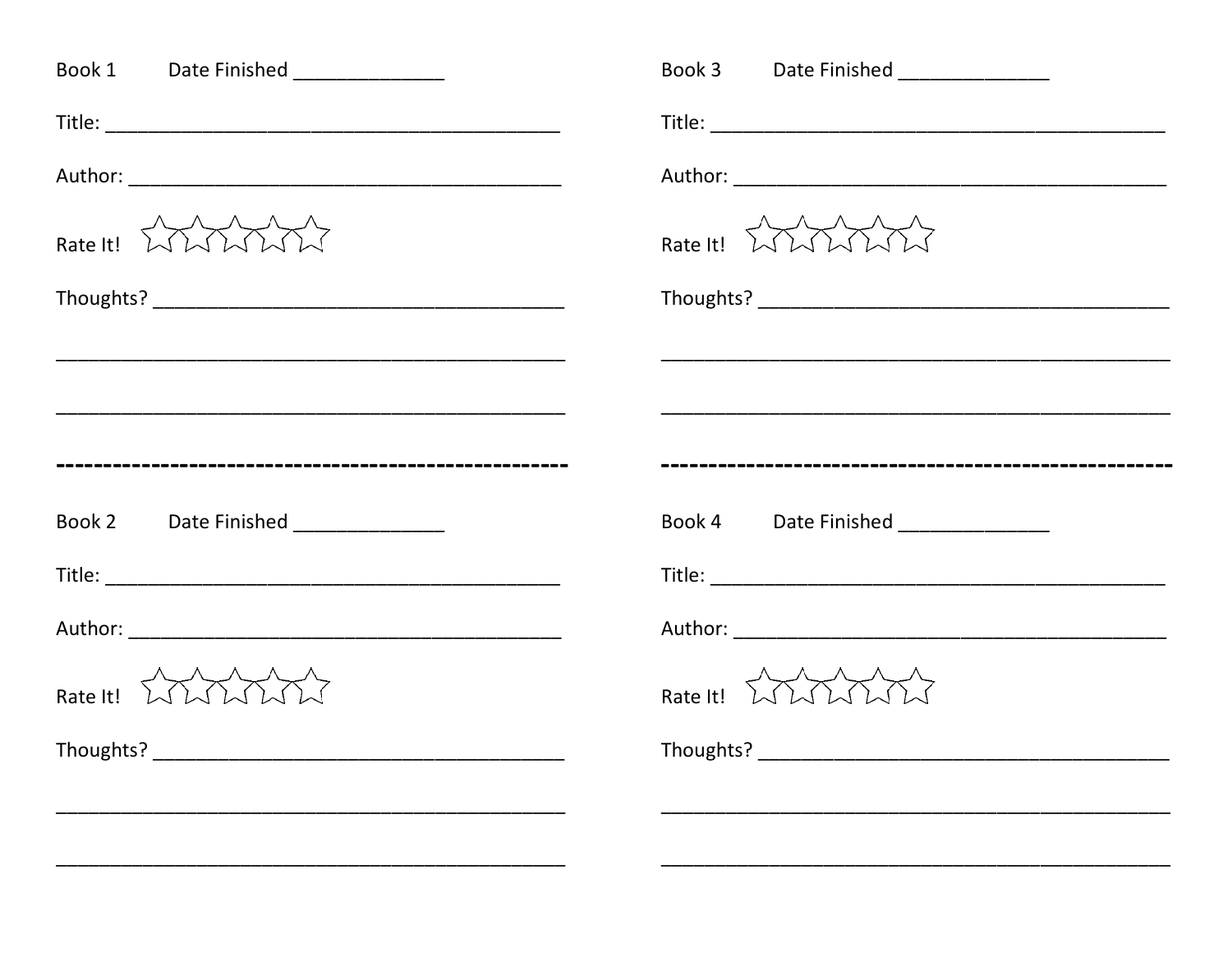| Book 1 Date Finished ______________ | Book 3 Date Finished _______________       |
|-------------------------------------|--------------------------------------------|
|                                     |                                            |
|                                     |                                            |
| Rate It! WWWW                       | Rate It! WWWW                              |
|                                     |                                            |
|                                     |                                            |
|                                     |                                            |
|                                     |                                            |
| Book 2 Date Finished ______________ | Book 4 Date Finished ______________        |
|                                     |                                            |
|                                     |                                            |
| Rate It! WWWW                       | Rate It! $\lambda \lambda \lambda \lambda$ |
| Thoughts? _                         | Thoughts? _____________                    |
|                                     |                                            |
|                                     |                                            |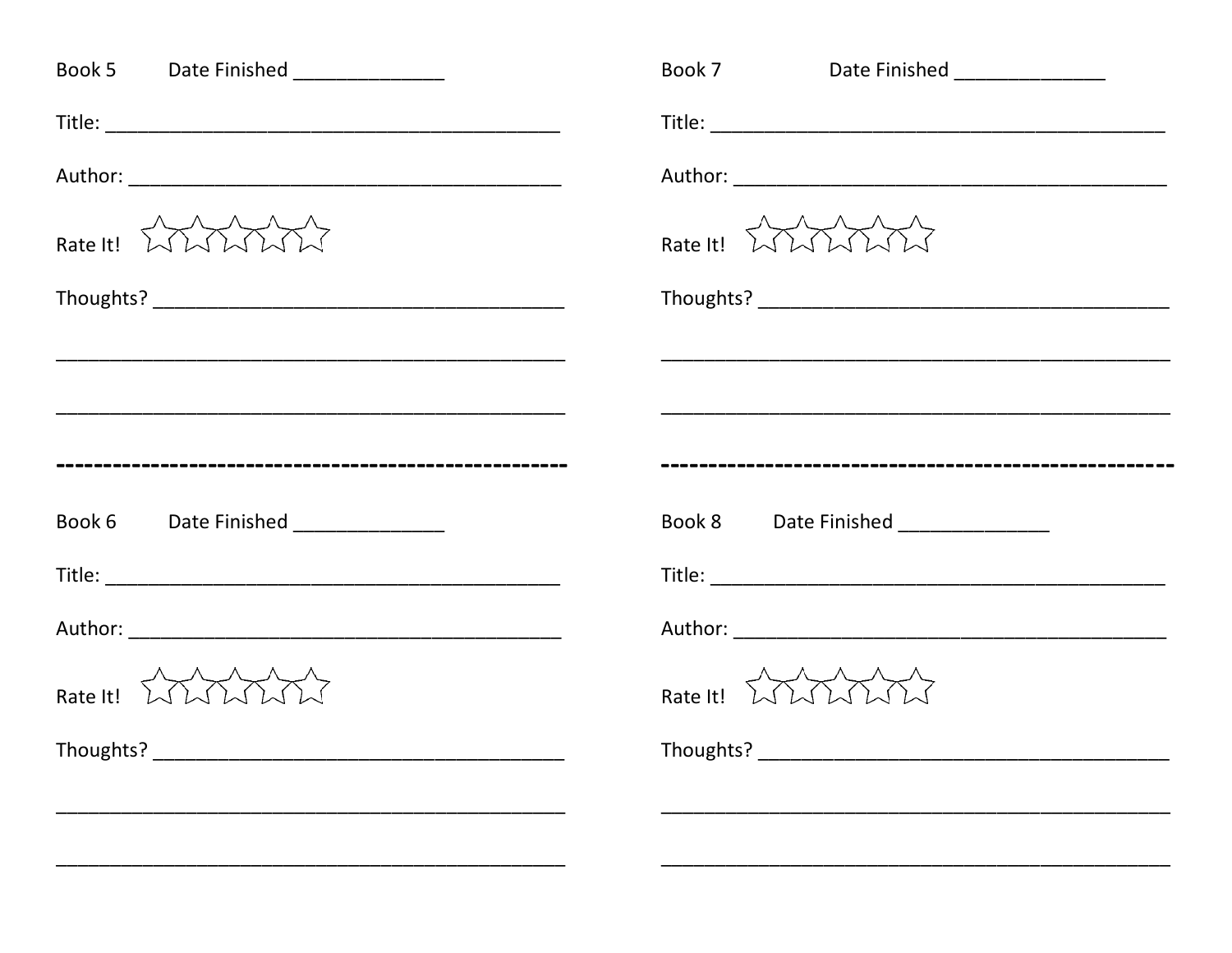| Book 5 Date Finished ______________                | Book 7 Date Finished _______________ |
|----------------------------------------------------|--------------------------------------|
|                                                    |                                      |
|                                                    |                                      |
| Rate It! WWWW                                      | Rate It! $WWW$                       |
|                                                    |                                      |
|                                                    |                                      |
|                                                    |                                      |
|                                                    |                                      |
| Book 6 Date Finished ______________                | Book 8 Date Finished _______________ |
|                                                    |                                      |
|                                                    |                                      |
| Rate It! $\lambda \lambda \lambda \lambda \lambda$ | Rate It! $WWW$                       |
| Thoughts? _                                        | Thoughts? _____________              |
|                                                    |                                      |
|                                                    |                                      |
|                                                    |                                      |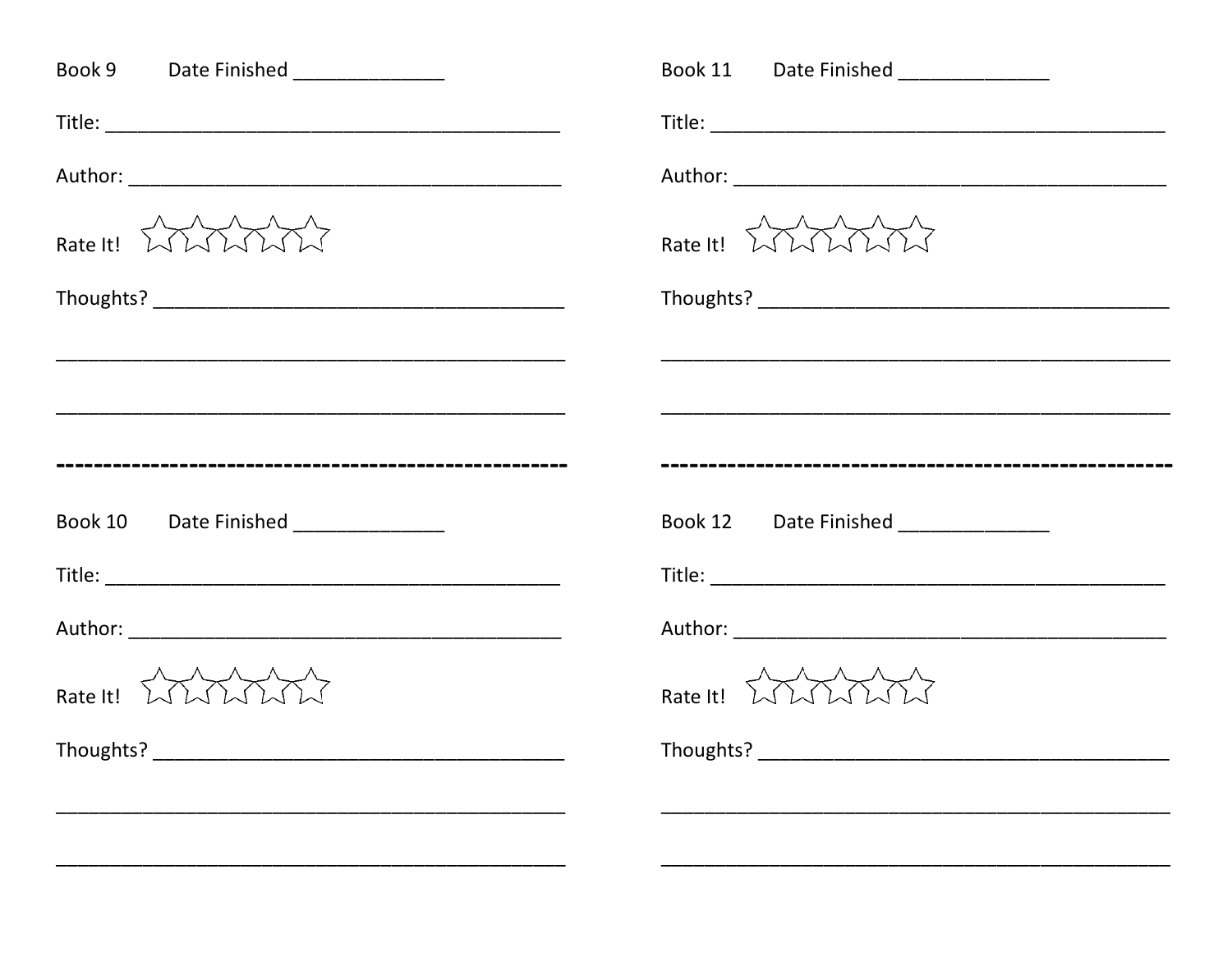| Book 9 Date Finished ______________  | Book 11 Date Finished _______________              |
|--------------------------------------|----------------------------------------------------|
|                                      |                                                    |
|                                      |                                                    |
| Rate It! WWWW                        | Rate It! $\lambda \lambda \lambda \lambda \lambda$ |
|                                      |                                                    |
|                                      |                                                    |
|                                      |                                                    |
|                                      |                                                    |
| Book 10 Date Finished ______________ | Book 12 Date Finished _____________                |
|                                      |                                                    |
|                                      |                                                    |
| Rate It! WWWW                        | Rate It! $\lambda \lambda \lambda \lambda$         |
| Thoughts? _                          | Thoughts? _____________                            |
|                                      |                                                    |
|                                      |                                                    |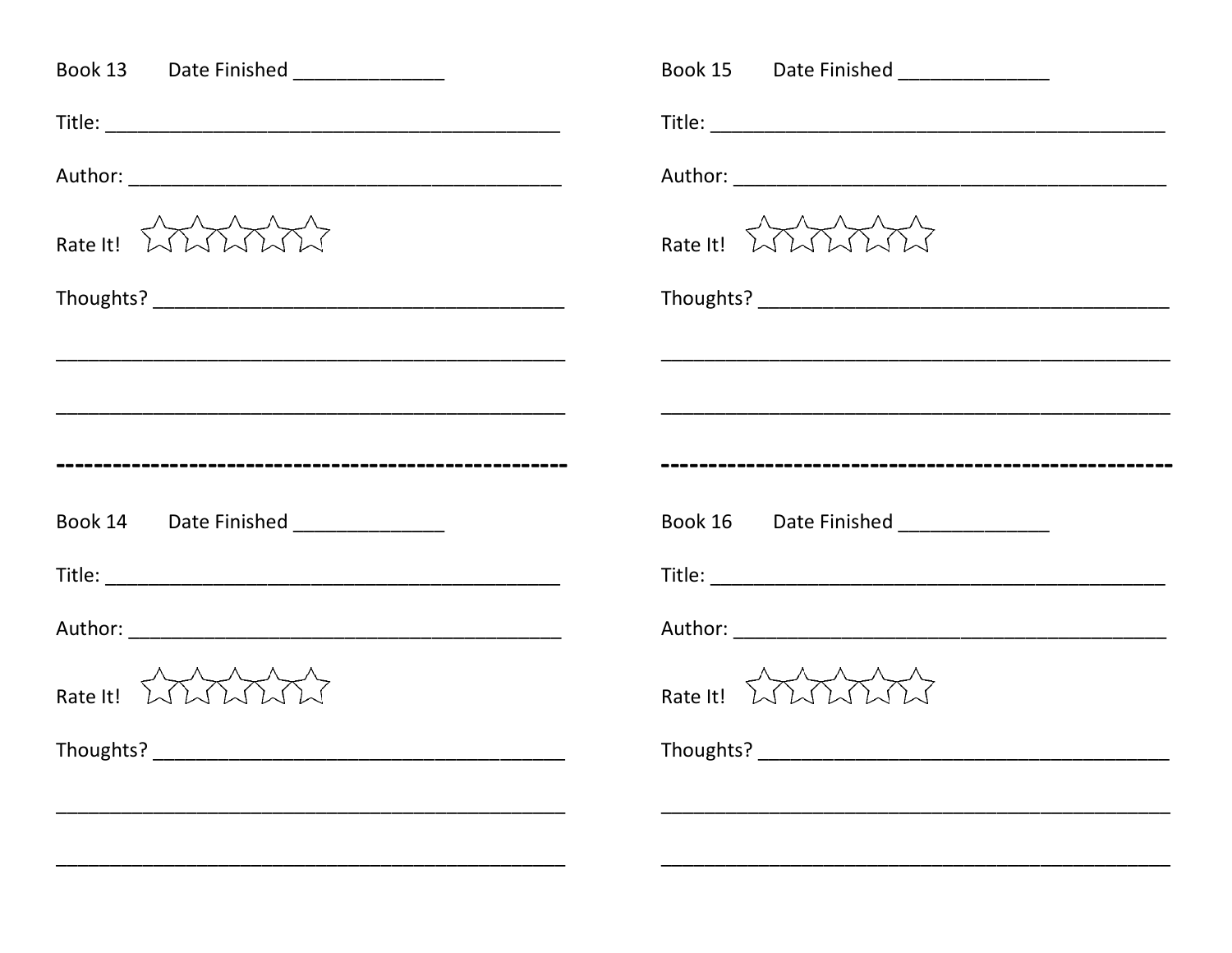| Book 13 Date Finished ______________  | Book 15 Date Finished _______________              |
|---------------------------------------|----------------------------------------------------|
|                                       |                                                    |
|                                       |                                                    |
| Rate It! WWWW                         | Rate It! $\lambda \lambda \lambda \lambda \lambda$ |
|                                       |                                                    |
|                                       |                                                    |
|                                       |                                                    |
|                                       |                                                    |
| Book 14 Date Finished _______________ | Book 16 Date Finished _____________                |
|                                       |                                                    |
|                                       |                                                    |
| Rate It! WWWW                         | Rate It! $\lambda \lambda \lambda \lambda$         |
| Thoughts? _                           | Thoughts? ____________                             |
|                                       |                                                    |
|                                       |                                                    |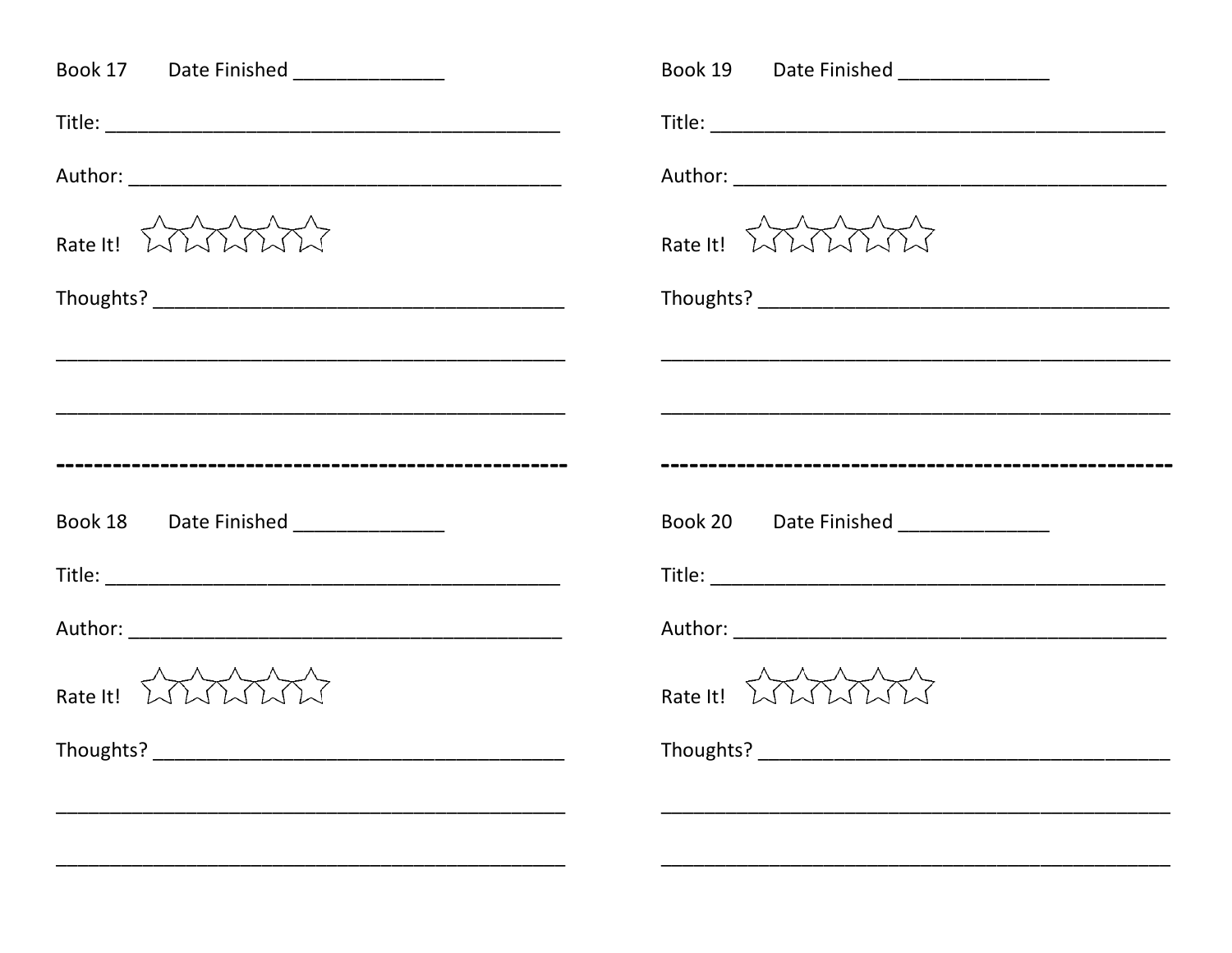| Book 17 Date Finished ______________  | Book 19 Date Finished _______________              |
|---------------------------------------|----------------------------------------------------|
|                                       |                                                    |
|                                       |                                                    |
| Rate It! WWWW                         | Rate It! $\lambda \lambda \lambda \lambda \lambda$ |
|                                       |                                                    |
|                                       |                                                    |
|                                       |                                                    |
|                                       |                                                    |
| Book 18 Date Finished _______________ | Book 20 Date Finished _____________                |
|                                       |                                                    |
|                                       |                                                    |
| Rate It! WWWW                         | Rate It! $\lambda \lambda \lambda \lambda$         |
| Thoughts? _                           | Thoughts? ____________                             |
|                                       |                                                    |
|                                       |                                                    |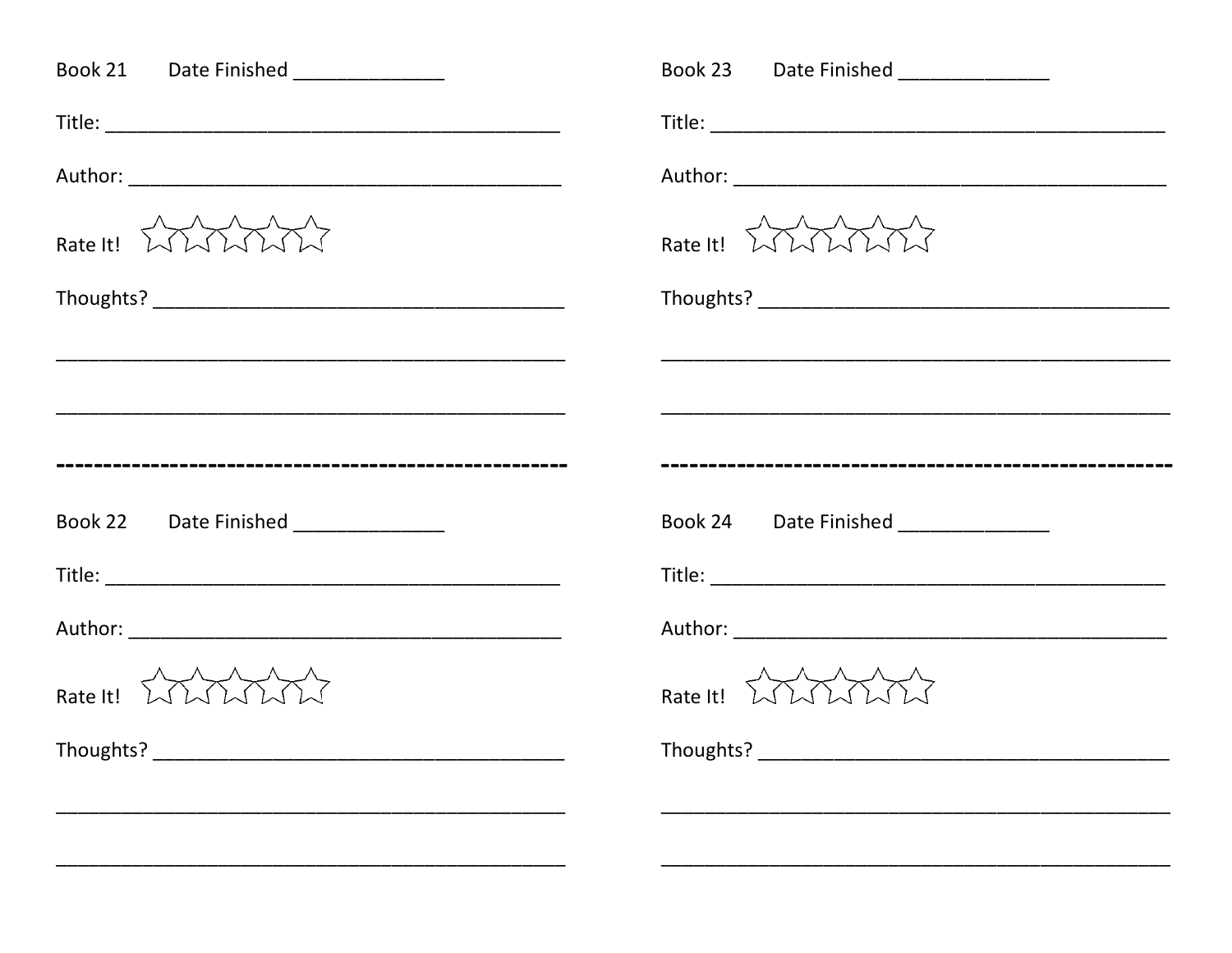| Book 21 Date Finished ______________  | Book 23 Date Finished _______________      |
|---------------------------------------|--------------------------------------------|
|                                       |                                            |
|                                       |                                            |
| Rate It! WWWW                         | Rate It! WWWW                              |
|                                       |                                            |
|                                       |                                            |
|                                       |                                            |
|                                       |                                            |
| Book 22 Date Finished _______________ | Book 24 Date Finished _____________        |
|                                       |                                            |
|                                       |                                            |
| Rate It! WWWW                         | Rate It! $\lambda \lambda \lambda \lambda$ |
| Thoughts? _                           | Thoughts? ____________                     |
|                                       |                                            |
|                                       |                                            |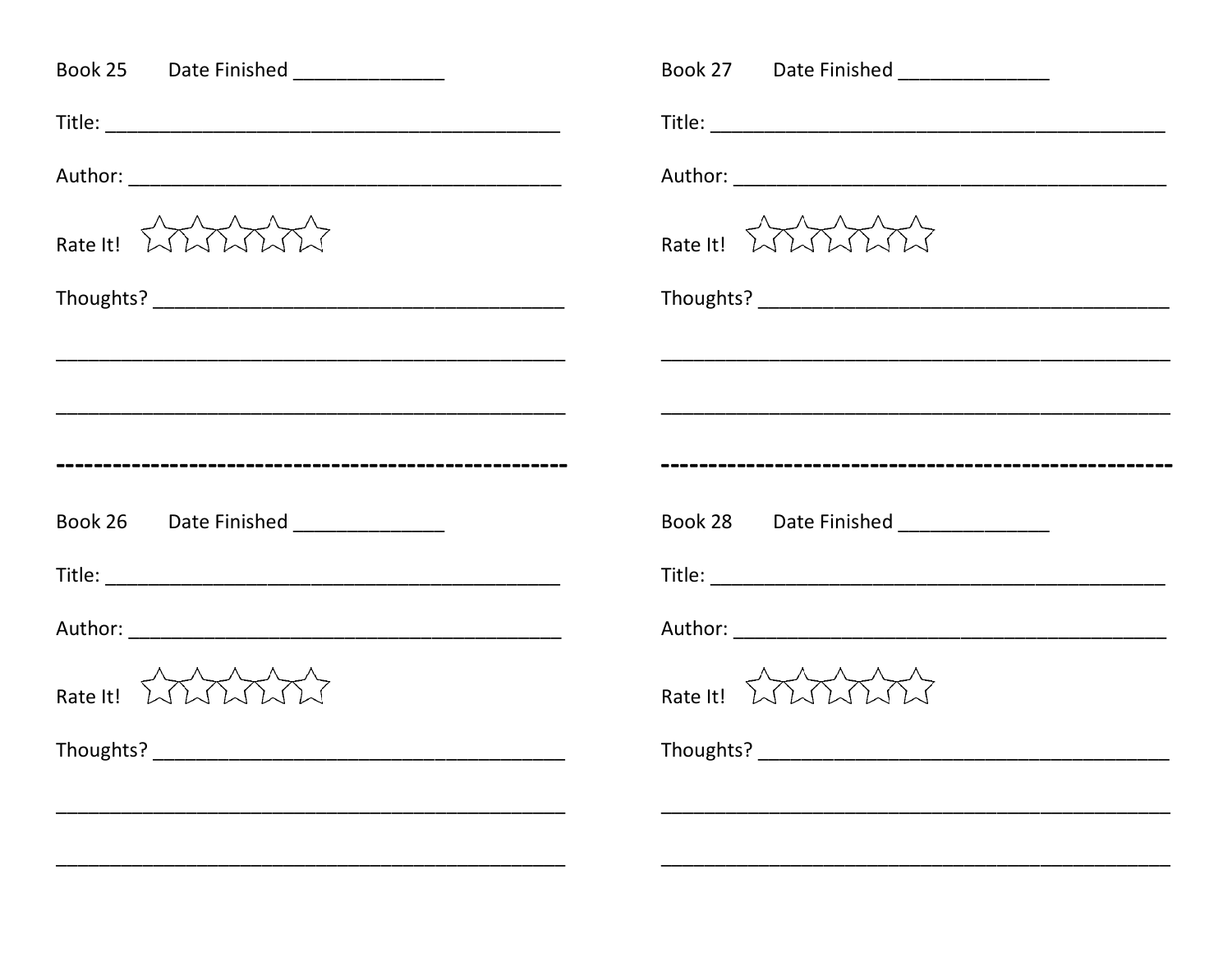| Book 25 Date Finished ______________  | Book 27 Date Finished _______________                                                  |
|---------------------------------------|----------------------------------------------------------------------------------------|
|                                       |                                                                                        |
|                                       |                                                                                        |
| Rate It! WWWW                         | Rate It! $\bigwedge_{\alpha} \bigwedge_{\alpha} \bigwedge_{\alpha} \bigwedge_{\alpha}$ |
|                                       |                                                                                        |
|                                       |                                                                                        |
|                                       |                                                                                        |
|                                       |                                                                                        |
| Book 26 Date Finished _______________ | Book 28 Date Finished _____________                                                    |
|                                       |                                                                                        |
|                                       |                                                                                        |
| Rate It! WWWW                         | Rate It! $\lambda \lambda \lambda \lambda$                                             |
| Thoughts? _                           | Thoughts? ____________                                                                 |
|                                       |                                                                                        |
|                                       |                                                                                        |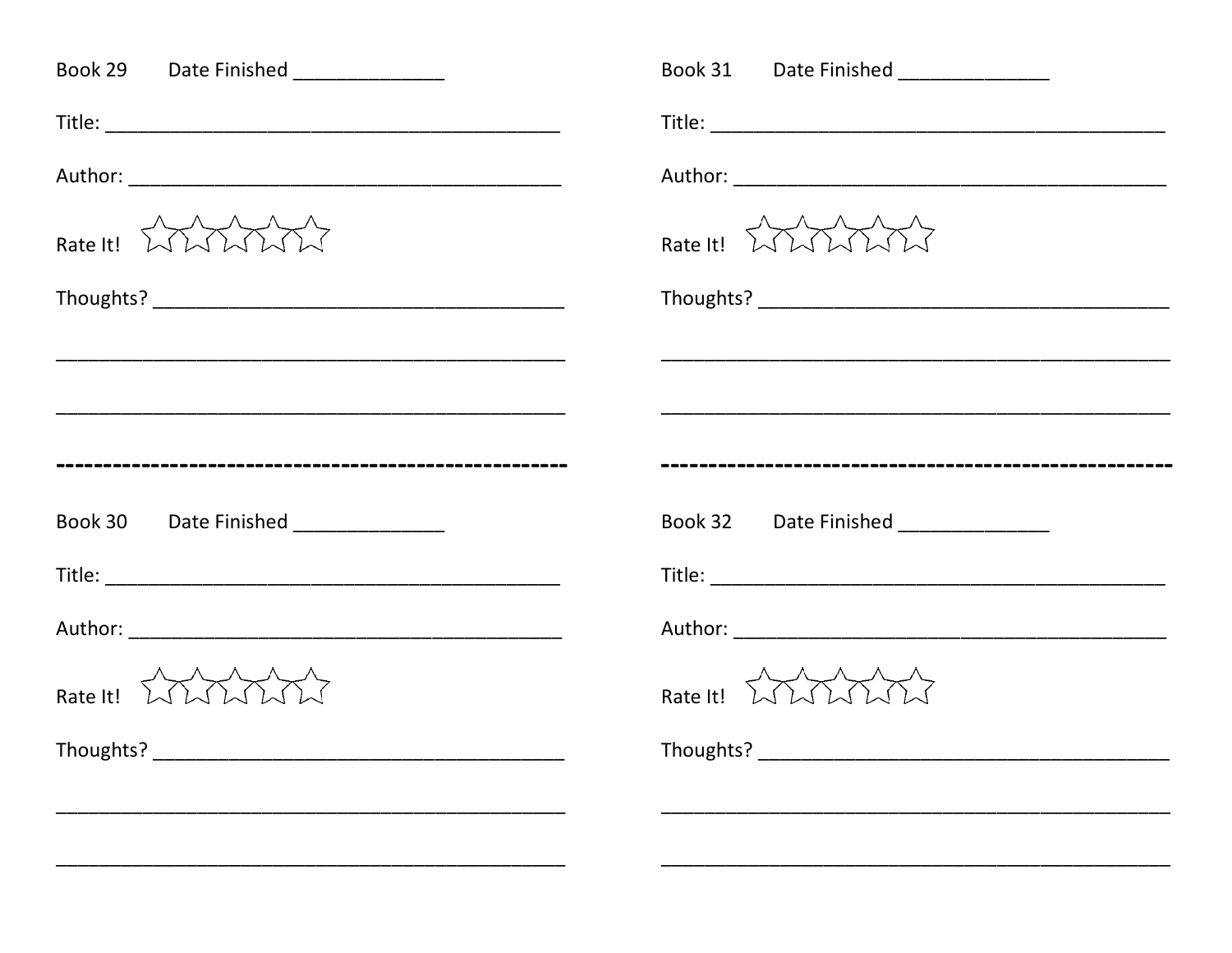| Book 29 Date Finished ______________ | Book 31 Date Finished _______________              |
|--------------------------------------|----------------------------------------------------|
|                                      |                                                    |
|                                      |                                                    |
| Rate It! WWWW                        | Rate It! $\lambda \lambda \lambda \lambda \lambda$ |
|                                      |                                                    |
|                                      |                                                    |
|                                      |                                                    |
|                                      |                                                    |
| Book 30 Date Finished ______________ | Book 32 Date Finished _____________                |
|                                      |                                                    |
|                                      |                                                    |
| Rate It! WWWW                        | Rate It! $\lambda \lambda \lambda \lambda$         |
| Thoughts? _                          | Thoughts? ____________                             |
|                                      |                                                    |
|                                      |                                                    |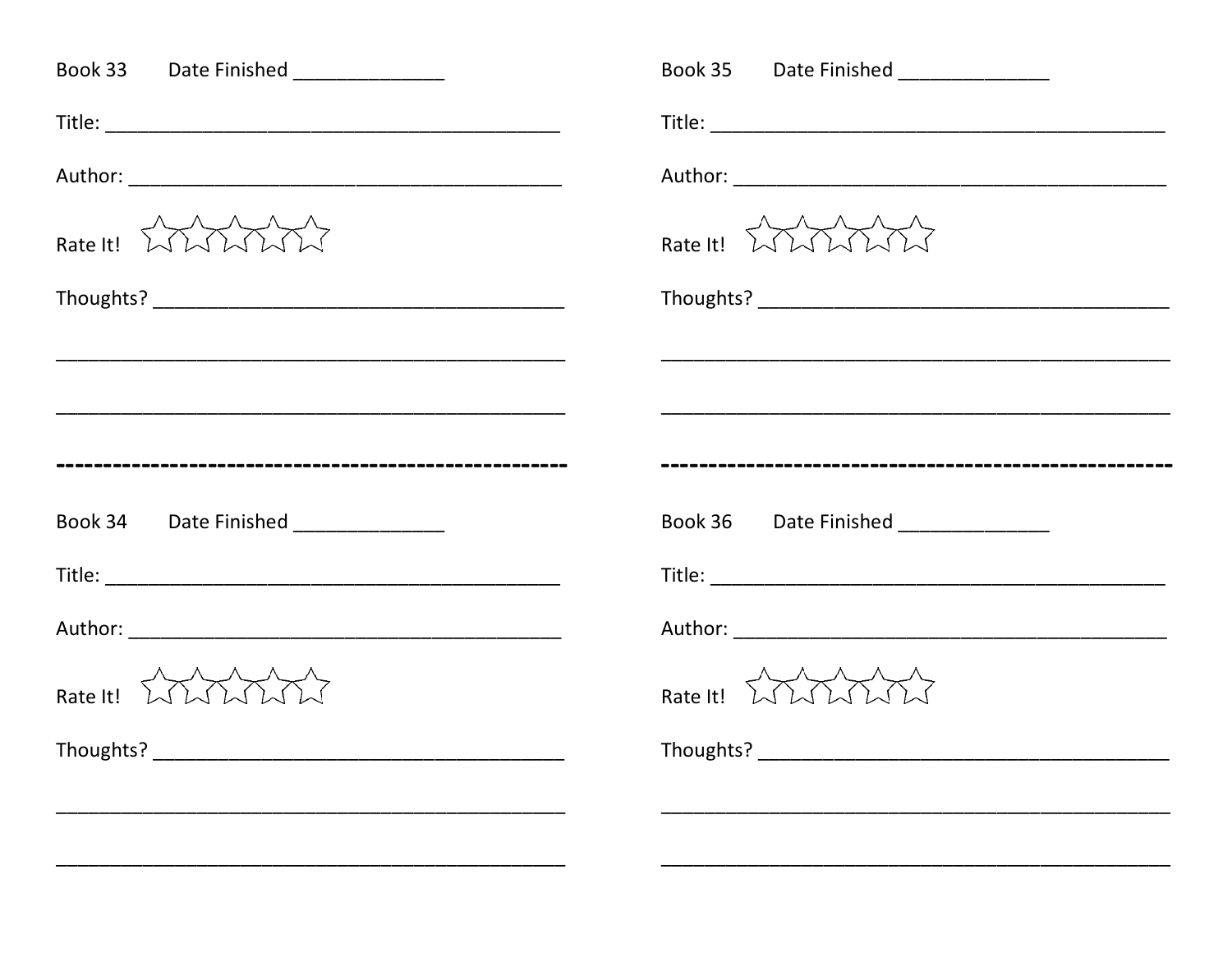| Book 33 Date Finished ______________               | Book 35 Date Finished _______________              |
|----------------------------------------------------|----------------------------------------------------|
|                                                    |                                                    |
|                                                    |                                                    |
| Rate It! WWWW                                      | Rate It! $\lambda \lambda \lambda \lambda \lambda$ |
|                                                    |                                                    |
|                                                    |                                                    |
|                                                    |                                                    |
|                                                    |                                                    |
| Book 34 Date Finished ______________               | Book 36 Date Finished ______________               |
|                                                    |                                                    |
|                                                    |                                                    |
| Rate It! $\lambda \lambda \lambda \lambda \lambda$ | Rate It! $\lambda \lambda \lambda \lambda \lambda$ |
|                                                    | Thoughts? _____________                            |
|                                                    |                                                    |
|                                                    |                                                    |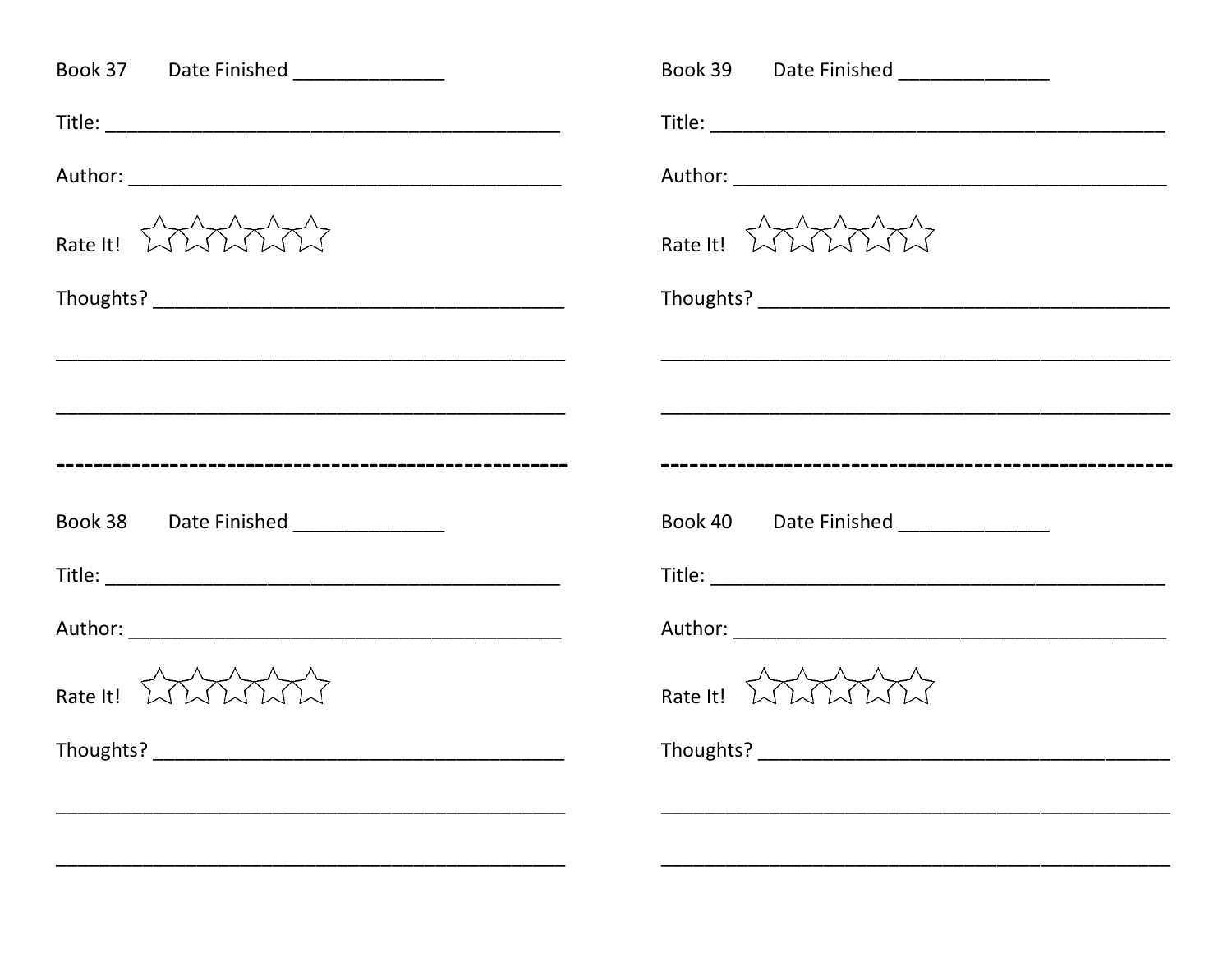| Book 37 Date Finished ______________  | Book 39 Date Finished _______________              |
|---------------------------------------|----------------------------------------------------|
|                                       |                                                    |
|                                       |                                                    |
| Rate It! WWWW                         | Rate It! $\lambda \lambda \lambda \lambda \lambda$ |
|                                       |                                                    |
|                                       |                                                    |
|                                       |                                                    |
|                                       |                                                    |
| Book 38 Date Finished _______________ | Book 40 Date Finished _____________                |
|                                       |                                                    |
|                                       |                                                    |
| Rate It! WWWW                         | Rate It! $\lambda \lambda \lambda \lambda$         |
| Thoughts? _                           | Thoughts? ____________                             |
|                                       |                                                    |
|                                       |                                                    |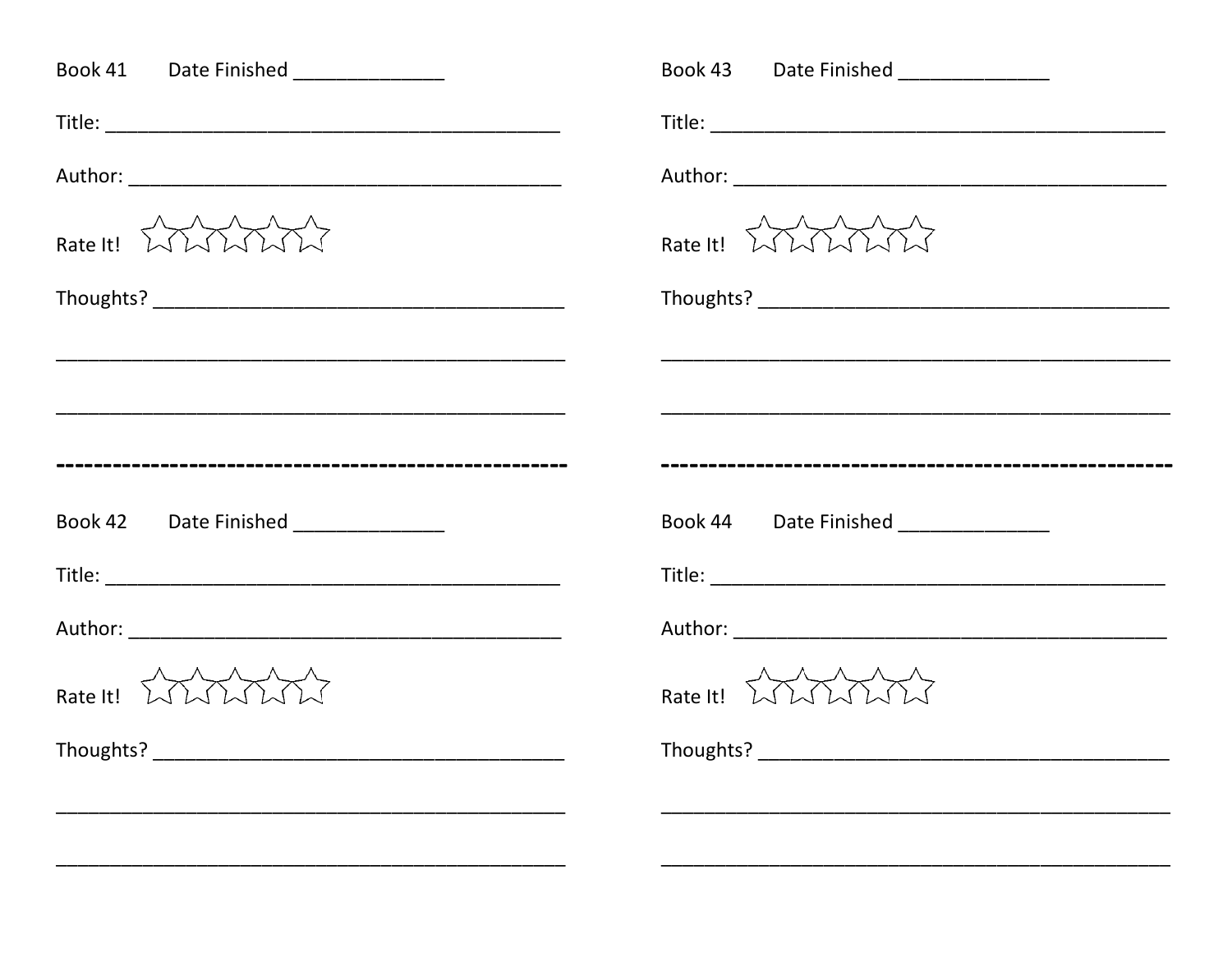| Book 41 Date Finished ______________ | Book 43 Date Finished _______________              |
|--------------------------------------|----------------------------------------------------|
|                                      |                                                    |
|                                      |                                                    |
| Rate It! WWWW                        | Rate It! $\lambda \lambda \lambda \lambda \lambda$ |
|                                      |                                                    |
|                                      |                                                    |
|                                      |                                                    |
|                                      |                                                    |
| Book 42 Date Finished ______________ | Book 44 Date Finished ______________               |
|                                      |                                                    |
|                                      |                                                    |
| Rate It! WWWW                        | Rate It! $\lambda \lambda \lambda \lambda$         |
| Thoughts? _                          | Thoughts? ____________                             |
|                                      |                                                    |
|                                      |                                                    |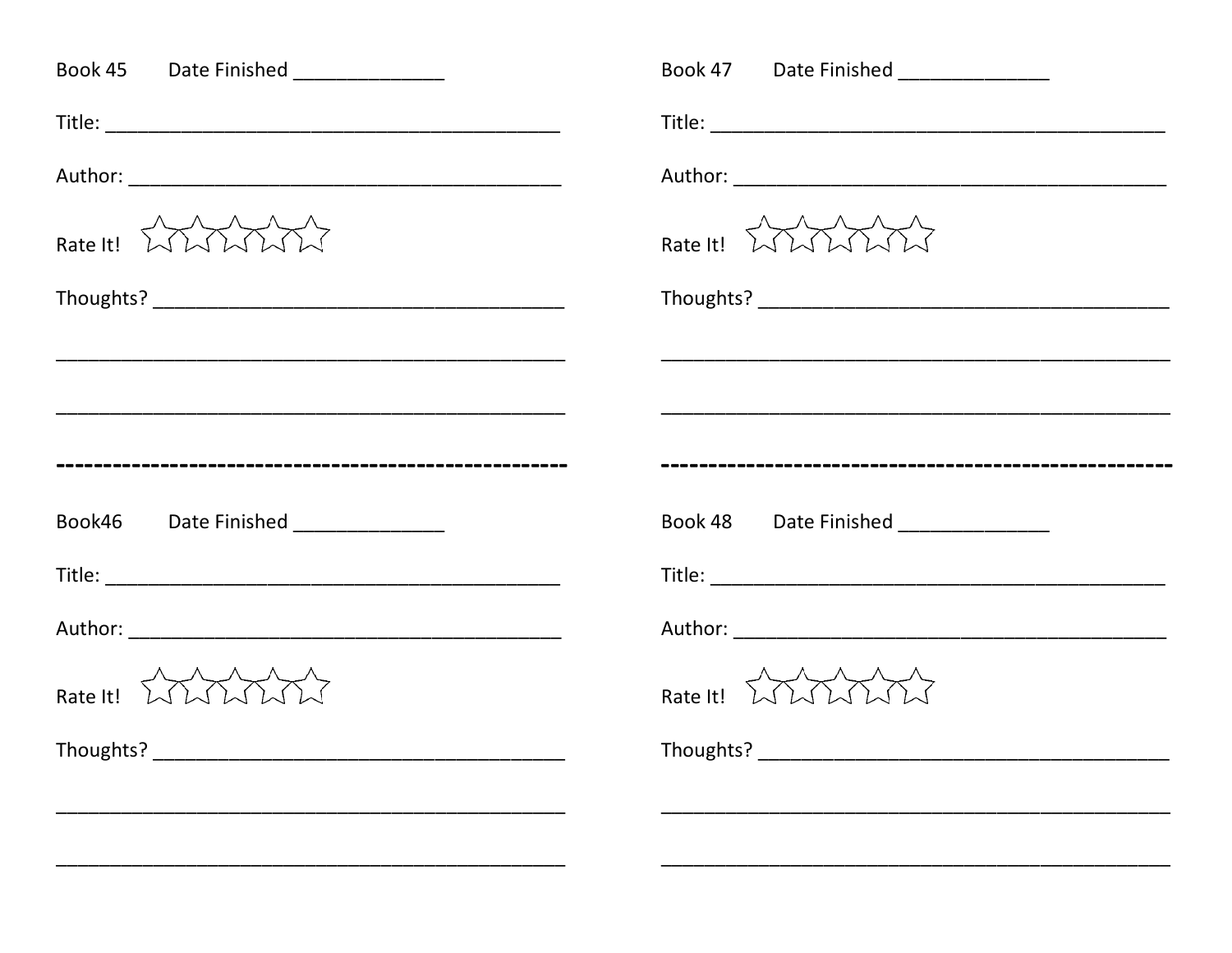| Book 45 Date Finished ______________ | Book 47 Date Finished _______________      |
|--------------------------------------|--------------------------------------------|
|                                      |                                            |
|                                      |                                            |
| Rate It! WWWW                        | Rate It! WWWW                              |
|                                      |                                            |
|                                      |                                            |
|                                      |                                            |
|                                      |                                            |
| Book46 Date Finished _______________ | Book 48 Date Finished _____________        |
|                                      |                                            |
|                                      |                                            |
| Rate It! WWWW                        | Rate It! $\lambda \lambda \lambda \lambda$ |
| Thoughts? _                          | Thoughts? ____________                     |
|                                      |                                            |
|                                      |                                            |